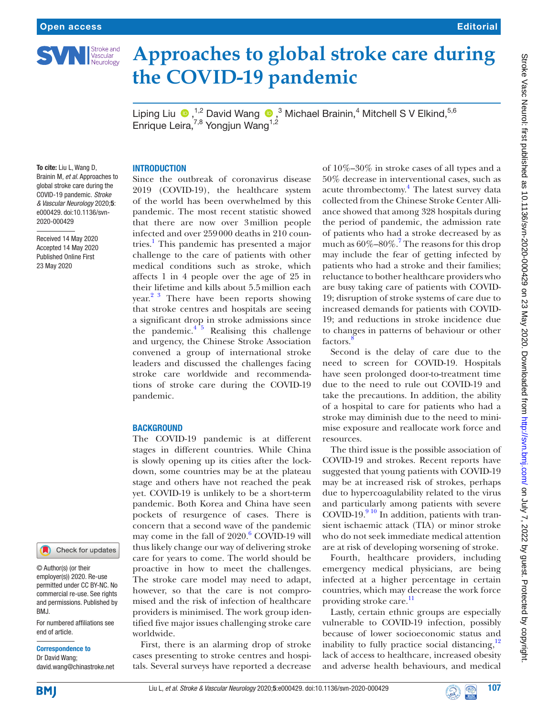

# **Approaches to global stroke care during the COVID-19 pandemic**

Liping Liu  $\bigcirc$ , <sup>1,2</sup> David Wang  $\bigcirc$ , <sup>3</sup> Michael Brainin, <sup>4</sup> Mitchell S V Elkind, <sup>5,6</sup> Enrique Leira,  $7,8$  Yongjun Wang<sup>1,2</sup>

# **INTRODUCTION**

Since the outbreak of coronavirus disease 2019 (COVID-19), the healthcare system of the world has been overwhelmed by this pandemic. The most recent statistic showed that there are now over 3million people infected and over 259000 deaths in 210 countries.<sup>1</sup> This pandemic has presented a major challenge to the care of patients with other medical conditions such as stroke, which affects 1 in 4 people over the age of 25 in their lifetime and kills about 5.5million each year.<sup>23</sup> There have been reports showing that stroke centres and hospitals are seeing a significant drop in stroke admissions since the pandemic. $4^{5}$  Realising this challenge and urgency, the Chinese Stroke Association convened a group of international stroke leaders and discussed the challenges facing stroke care worldwide and recommendations of stroke care during the COVID-19 pandemic.

# **BACKGROUND**

The COVID-19 pandemic is at different stages in different countries. While China is slowly opening up its cities after the lockdown, some countries may be at the plateau stage and others have not reached the peak yet. COVID-19 is unlikely to be a short-term pandemic. Both Korea and China have seen pockets of resurgence of cases. There is concern that a second wave of the pandemic may come in the fall of 2020.<sup>[6](#page-1-3)</sup> COVID-19 will thus likely change our way of delivering stroke care for years to come. The world should be proactive in how to meet the challenges. The stroke care model may need to adapt, however, so that the care is not compromised and the risk of infection of healthcare providers is minimised. The work group identified five major issues challenging stroke care worldwide.

First, there is an alarming drop of stroke cases presenting to stroke centres and hospitals. Several surveys have reported a decrease

of 10%–30% in stroke cases of all types and a 50% decrease in interventional cases, such as acute thrombectomy.<sup>4</sup> The latest survey data collected from the Chinese Stroke Center Alliance showed that among 328 hospitals during the period of pandemic, the admission rate of patients who had a stroke decreased by as much as  $60\% - 80\%$ .<sup>7</sup> The reasons for this drop may include the fear of getting infected by patients who had a stroke and their families; reluctance to bother healthcare providers who are busy taking care of patients with COVID-19; disruption of stroke systems of care due to increased demands for patients with COVID-19; and reductions in stroke incidence due to changes in patterns of behaviour or other factors.

Second is the delay of care due to the need to screen for COVID-19. Hospitals have seen prolonged door-to-treatment time due to the need to rule out COVID-19 and take the precautions. In addition, the ability of a hospital to care for patients who had a stroke may diminish due to the need to minimise exposure and reallocate work force and resources.

The third issue is the possible association of COVID-19 and strokes. Recent reports have suggested that young patients with COVID-19 may be at increased risk of strokes, perhaps due to hypercoagulability related to the virus and particularly among patients with severe COVID-19. $9^{10}$  In addition, patients with transient ischaemic attack (TIA) or minor stroke who do not seek immediate medical attention are at risk of developing worsening of stroke.

Fourth, healthcare providers, including emergency medical physicians, are being infected at a higher percentage in certain countries, which may decrease the work force providing stroke care.<sup>11</sup>

Lastly, certain ethnic groups are especially vulnerable to COVID-19 infection, possibly because of lower socioeconomic status and inability to fully practice social distancing, $12$ lack of access to healthcare, increased obesity and adverse health behaviours, and medical

To cite: Liu L, Wang D, Brainin M, *et al*. Approaches to global stroke care during the COVID-19 pandemic. *Stroke & Vascular Neurology* 2020;5: e000429. doi:10.1136/svn-2020-000429

Received 14 May 2020 Accepted 14 May 2020 Published Online First 23 May 2020

#### Check for updates

© Author(s) (or their employer(s)) 2020. Re-use permitted under CC BY-NC. No commercial re-use. See rights and permissions. Published by BMJ.

For numbered affiliations see end of article.

#### Correspondence to

**BMI** 

Dr David Wang; david.wang@chinastroke.net



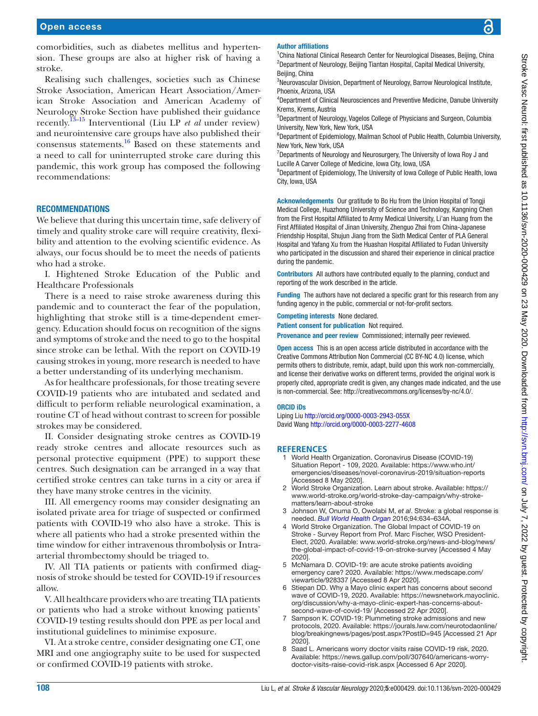comorbidities, such as diabetes mellitus and hypertension. These groups are also at higher risk of having a stroke.

Realising such challenges, societies such as Chinese Stroke Association, American Heart Association/American Stroke Association and American Academy of Neurology Stroke Section have published their guidance recently[.13–15](#page-2-3) Interventional (Liu LP *et al* under review) and neurointensive care groups have also published their consensus statements[.16](#page-2-4) Based on these statements and a need to call for uninterrupted stroke care during this pandemic, this work group has composed the following recommendations:

# **RECOMMENDATIONS**

We believe that during this uncertain time, safe delivery of timely and quality stroke care will require creativity, flexibility and attention to the evolving scientific evidence. As always, our focus should be to meet the needs of patients who had a stroke.

I. Hightened Stroke Education of the Public and Healthcare Professionals

There is a need to raise stroke awareness during this pandemic and to counteract the fear of the population, highlighting that stroke still is a time-dependent emergency. Education should focus on recognition of the signs and symptoms of stroke and the need to go to the hospital since stroke can be lethal. With the report on COVID-19 causing strokes in young, more research is needed to have a better understanding of its underlying mechanism.

As for healthcare professionals, for those treating severe COVID-19 patients who are intubated and sedated and difficult to perform reliable neurological examination, a routine CT of head without contrast to screen for possible strokes may be considered.

II. Consider designating stroke centres as COVID-19 ready stroke centres and allocate resources such as personal protective equipment (PPE) to support these centres. Such designation can be arranged in a way that certified stroke centres can take turns in a city or area if they have many stroke centres in the vicinity.

III. All emergency rooms may consider designating an isolated private area for triage of suspected or confirmed patients with COVID-19 who also have a stroke. This is where all patients who had a stroke presented within the time window for either intravenous thrombolysis or Intraarterial thrombectomy should be triaged to.

IV. All TIA patients or patients with confirmed diagnosis of stroke should be tested for COVID-19 if resources allow.

V. All healthcare providers who are treating TIA patients or patients who had a stroke without knowing patients' COVID-19 testing results should don PPE as per local and institutional guidelines to minimise exposure.

VI. At a stroke centre, consider designating one CT, one MRI and one angiography suite to be used for suspected or confirmed COVID-19 patients with stroke.

### Author affiliations

<sup>1</sup>China National Clinical Research Center for Neurological Diseases, Beijing, China <sup>2</sup>Department of Neurology, Beijing Tiantan Hospital, Capital Medical University, Beiiing, China

<sup>3</sup>Neurovascular Division, Department of Neurology, Barrow Neurological Institute, Phoenix, Arizona, USA

4 Department of Clinical Neurosciences and Preventive Medicine, Danube University Krems, Krems, Austria

5 Department of Neurology, Vagelos College of Physicians and Surgeon, Columbia University, New York, New York, USA

<sup>6</sup>Department of Epidemiology, Mailman School of Public Health, Columbia University, New York, New York, USA

<sup>7</sup>Departments of Neurology and Neurosurgery, The University of Iowa Roy J and Lucille A Carver College of Medicine, Iowa City, Iowa, USA

<sup>8</sup>Department of Epidemiology, The University of Iowa College of Public Health, Iowa City, Iowa, USA

Acknowledgements Our gratitude to Bo Hu from the Union Hospital of Tongji Medical College, Huazhong University of Science and Technology, Kangning Chen from the First Hospital Affiliated to Army Medical University, Li'an Huang from the First Affiliated Hospital of Jinan University, Zhenguo Zhai from China-Japanese Friendship Hospital, Shujun Jiang from the Sixth Medical Center of PLA General Hospital and Yafang Xu from the Huashan Hospital Affiliated to Fudan University who participated in the discussion and shared their experience in clinical practice during the pandemic.

Contributors All authors have contributed equally to the planning, conduct and reporting of the work described in the article.

Funding The authors have not declared a specific grant for this research from any funding agency in the public, commercial or not-for-profit sectors.

Competing interests None declared.

Patient consent for publication Not required.

Provenance and peer review Commissioned; internally peer reviewed.

**Open access** This is an open access article distributed in accordance with the Creative Commons Attribution Non Commercial (CC BY-NC 4.0) license, which permits others to distribute, remix, adapt, build upon this work non-commercially, and license their derivative works on different terms, provided the original work is properly cited, appropriate credit is given, any changes made indicated, and the use is non-commercial. See: [http://creativecommons.org/licenses/by-nc/4.0/.](http://creativecommons.org/licenses/by-nc/4.0/)

#### ORCID iDs

Liping Liu <http://orcid.org/0000-0003-2943-055X> David Wang <http://orcid.org/0000-0003-2277-4608>

#### **References**

- <span id="page-1-0"></span>1 World Health Organization. Coronavirus Disease (COVID-19) Situation Report - 109, 2020. Available: [https://www.who.int/](https://www.who.int/emergencies/diseases/novel-coronavirus-2019/situation-reports) [emergencies/diseases/novel-coronavirus-2019/situation-reports](https://www.who.int/emergencies/diseases/novel-coronavirus-2019/situation-reports) [Accessed 8 May 2020].
- <span id="page-1-1"></span>2 World Stroke Organization. Learn about stroke. Available: [https://](https://www.world-stroke.org/world-stroke-day-campaign/why-stroke-matters/learn-about-stroke) [www.world-stroke.org/world-stroke-day-campaign/why-stroke](https://www.world-stroke.org/world-stroke-day-campaign/why-stroke-matters/learn-about-stroke)[matters/learn-about-stroke](https://www.world-stroke.org/world-stroke-day-campaign/why-stroke-matters/learn-about-stroke)
- 3 Johnson W, Onuma O, Owolabi M, *et al*. Stroke: a global response is needed. *[Bull World Health Organ](http://dx.doi.org/10.2471/BLT.16.181636)* 2016;94:634–634A.
- <span id="page-1-2"></span>4 World Stroke Organization. The Global Impact of COVID-19 on Stroke - Survey Report from Prof. Marc Fischer, WSO President-Elect, 2020. Available: [www.world-stroke.org/news-and-blog/news/](www.world-stroke.org/news-and-blog/news/the-global-impact-of-covid-19-on-stroke-survey) [the-global-impact-of-covid-19-on-stroke-survey](www.world-stroke.org/news-and-blog/news/the-global-impact-of-covid-19-on-stroke-survey) [Accessed 4 May 2020].
- 5 McNamara D. COVID-19: are acute stroke patients avoiding emergency care? 2020. Available: [https://www.medscape.com/](https://www.medscape.com/viewarticle/928337) [viewarticle/928337](https://www.medscape.com/viewarticle/928337) [Accessed 8 Apr 2020].
- <span id="page-1-3"></span>6 Stiepan DD. Why a Mayo clinic expert has concerns about second wave of COVID-19, 2020. Available: [https://newsnetwork.mayoclinic.](https://newsnetwork.mayoclinic.org/discussion/why-a-mayo-clinic-expert-has-concerns-about-second-wave-of-covid-19/) [org/discussion/why-a-mayo-clinic-expert-has-concerns-about](https://newsnetwork.mayoclinic.org/discussion/why-a-mayo-clinic-expert-has-concerns-about-second-wave-of-covid-19/)[second-wave-of-covid-19/](https://newsnetwork.mayoclinic.org/discussion/why-a-mayo-clinic-expert-has-concerns-about-second-wave-of-covid-19/) [Accessed 22 Apr 2020].
- <span id="page-1-4"></span>7 Sampson K. COVID-19: Plummeting stroke admissions and new protocols, 2020. Available: [https://jourals.lww.com/neurotodaonline/](https://jourals.lww.com/neurotodaonline/blog/breakingnews/pages/post.aspx?PostID=945) [blog/breakingnews/pages/post.aspx?PostID=945](https://jourals.lww.com/neurotodaonline/blog/breakingnews/pages/post.aspx?PostID=945) [Accessed 21 Apr 2020].
- <span id="page-1-5"></span>8 Saad L. Americans worry doctor visits raise COVID-19 risk, 2020. Available: [https://news.gallup.com/poll/307640/americans-worry](https://news.gallup.com/poll/307640/americans-worry-doctor-visits-raise-covid-risk.aspx)[doctor-visits-raise-covid-risk.aspx](https://news.gallup.com/poll/307640/americans-worry-doctor-visits-raise-covid-risk.aspx) [Accessed 6 Apr 2020].